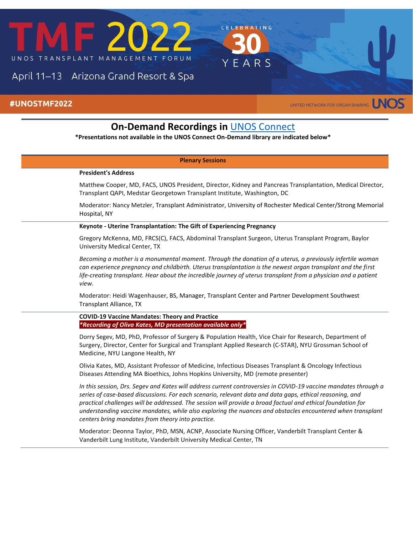

# April 11-13 Arizona Grand Resort & Spa

### #UNOSTMF2022

UNITED NETWORK FOR ORGAN SHARING

RATING

EARS

## **On-Demand Recordings in <b>[UNOS Connect](https://unos.org/resources/education/) \*Presentations not available in the UNOS Connect On-Demand library are indicated below\* Plenary Sessions President's Address** Matthew Cooper, MD, FACS, UNOS President, Director, Kidney and Pancreas Transplantation, Medical Director, Transplant QAPI, Medstar Georgetown Transplant Institute, Washington, DC Moderator: Nancy Metzler, Transplant Administrator, University of Rochester Medical Center/Strong Memorial Hospital, NY **Keynote - Uterine Transplantation: The Gift of Experiencing Pregnancy** Gregory McKenna, MD, FRCS(C), FACS, Abdominal Transplant Surgeon, Uterus Transplant Program, Baylor University Medical Center, TX *Becoming a mother is a monumental moment. Through the donation of a uterus, a previously infertile woman can experience pregnancy and childbirth. Uterus transplantation is the newest organ transplant and the first*  life-creating transplant. Hear about the incredible journey of uterus transplant from a physician and a patient *view.* Moderator: Heidi Wagenhauser, BS, Manager, Transplant Center and Partner Development Southwest Transplant Alliance, TX **COVID-19 Vaccine Mandates: Theory and Practice** *\*Recording of Oliva Kates, MD presentation available only\** Dorry Segev, MD, PhD, Professor of Surgery & Population Health, Vice Chair for Research, Department of Surgery, Director, Center for Surgical and Transplant Applied Research (C-STAR), NYU Grossman School of Medicine, NYU Langone Health, NY Olivia Kates, MD, Assistant Professor of Medicine, Infectious Diseases Transplant & Oncology Infectious Diseases Attending MA Bioethics, Johns Hopkins University, MD (remote presenter) *In this session, Drs. Segev and Kates will address current controversies in COVID-19 vaccine mandates through a series of case-based discussions. For each scenario, relevant data and data gaps, ethical reasoning, and practical challenges will be addressed. The session will provide a broad factual and ethical foundation for understanding vaccine mandates, while also exploring the nuances and obstacles encountered when transplant centers bring mandates from theory into practice.* Moderator: Deonna Taylor, PhD, MSN, ACNP, Associate Nursing Officer, Vanderbilt Transplant Center & Vanderbilt Lung Institute, Vanderbilt University Medical Center, TN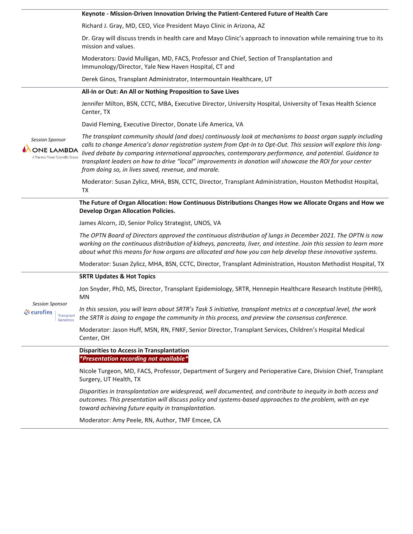|                                                                                 | Keynote - Mission-Driven Innovation Driving the Patient-Centered Future of Health Care                                                                                                                                                                                                                                                                                                                                                                                                                         |
|---------------------------------------------------------------------------------|----------------------------------------------------------------------------------------------------------------------------------------------------------------------------------------------------------------------------------------------------------------------------------------------------------------------------------------------------------------------------------------------------------------------------------------------------------------------------------------------------------------|
|                                                                                 | Richard J. Gray, MD, CEO, Vice President Mayo Clinic in Arizona, AZ                                                                                                                                                                                                                                                                                                                                                                                                                                            |
|                                                                                 | Dr. Gray will discuss trends in health care and Mayo Clinic's approach to innovation while remaining true to its<br>mission and values.                                                                                                                                                                                                                                                                                                                                                                        |
|                                                                                 | Moderators: David Mulligan, MD, FACS, Professor and Chief, Section of Transplantation and<br>Immunology/Director, Yale New Haven Hospital, CT and                                                                                                                                                                                                                                                                                                                                                              |
|                                                                                 | Derek Ginos, Transplant Administrator, Intermountain Healthcare, UT                                                                                                                                                                                                                                                                                                                                                                                                                                            |
|                                                                                 | All-In or Out: An All or Nothing Proposition to Save Lives                                                                                                                                                                                                                                                                                                                                                                                                                                                     |
|                                                                                 | Jennifer Milton, BSN, CCTC, MBA, Executive Director, University Hospital, University of Texas Health Science<br>Center, TX                                                                                                                                                                                                                                                                                                                                                                                     |
| <b>Session Sponsor</b><br><b>ONE LAMBDA</b><br>A Thermo Fisher Scientific Brand | David Fleming, Executive Director, Donate Life America, VA                                                                                                                                                                                                                                                                                                                                                                                                                                                     |
|                                                                                 | The transplant community should (and does) continuously look at mechanisms to boost organ supply including<br>calls to change America's donor registration system from Opt-In to Opt-Out. This session will explore this long-<br>lived debate by comparing international approaches, contemporary performance, and potential. Guidance to<br>transplant leaders on how to drive "local" improvements in donation will showcase the ROI for your center<br>from doing so, in lives saved, revenue, and morale. |
|                                                                                 | Moderator: Susan Zylicz, MHA, BSN, CCTC, Director, Transplant Administration, Houston Methodist Hospital,<br><b>TX</b>                                                                                                                                                                                                                                                                                                                                                                                         |
|                                                                                 | The Future of Organ Allocation: How Continuous Distributions Changes How we Allocate Organs and How we<br><b>Develop Organ Allocation Policies.</b>                                                                                                                                                                                                                                                                                                                                                            |
|                                                                                 | James Alcorn, JD, Senior Policy Strategist, UNOS, VA                                                                                                                                                                                                                                                                                                                                                                                                                                                           |
|                                                                                 | The OPTN Board of Directors approved the continuous distribution of lungs in December 2021. The OPTN is now<br>working on the continuous distribution of kidneys, pancreata, liver, and intestine. Join this session to learn more<br>about what this means for how organs are allocated and how you can help develop these innovative systems.                                                                                                                                                                |
|                                                                                 | Moderator: Susan Zylicz, MHA, BSN, CCTC, Director, Transplant Administration, Houston Methodist Hospital, TX                                                                                                                                                                                                                                                                                                                                                                                                   |
|                                                                                 | <b>SRTR Updates &amp; Hot Topics</b>                                                                                                                                                                                                                                                                                                                                                                                                                                                                           |
| <b>Session Sponsor</b><br>े eurofins<br><b>Transplant</b><br><b>Genomics</b>    | Jon Snyder, PhD, MS, Director, Transplant Epidemiology, SRTR, Hennepin Healthcare Research Institute (HHRI),<br>MN                                                                                                                                                                                                                                                                                                                                                                                             |
|                                                                                 | In this session, you will learn about SRTR's Task 5 initiative, transplant metrics at a conceptual level, the work<br>the SRTR is doing to engage the community in this process, and preview the consensus conference.                                                                                                                                                                                                                                                                                         |
|                                                                                 | Moderator: Jason Huff, MSN, RN, FNKF, Senior Director, Transplant Services, Children's Hospital Medical<br>Center, OH                                                                                                                                                                                                                                                                                                                                                                                          |
|                                                                                 | <b>Disparities to Access in Transplantation</b><br>*Presentation recording not available*                                                                                                                                                                                                                                                                                                                                                                                                                      |
|                                                                                 | Nicole Turgeon, MD, FACS, Professor, Department of Surgery and Perioperative Care, Division Chief, Transplant<br>Surgery, UT Health, TX                                                                                                                                                                                                                                                                                                                                                                        |
|                                                                                 | Disparities in transplantation are widespread, well documented, and contribute to inequity in both access and<br>outcomes. This presentation will discuss policy and systems-based approaches to the problem, with an eye<br>toward achieving future equity in transplantation.                                                                                                                                                                                                                                |

Moderator: Amy Peele, RN, Author, TMF Emcee, CA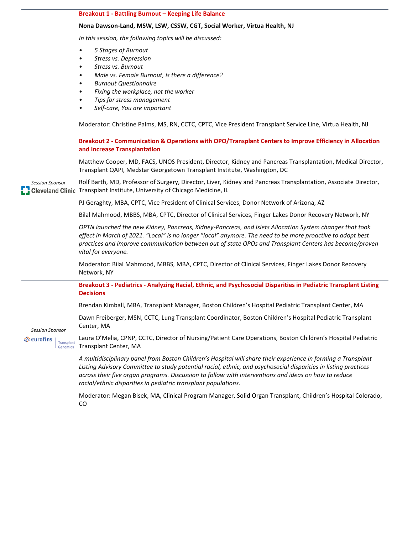#### **Breakout 1 - Battling Burnout – Keeping Life Balance**

#### **Nona Dawson-Land, MSW, LSW, CSSW, CGT, Social Worker, Virtua Health, NJ**

*In this session, the following topics will be discussed:*

- *5 Stages of Burnout*
- *Stress vs. Depression*
- *Stress vs. Burnout*
- *Male vs. Female Burnout, is there a difference?*
- *Burnout Questionnaire*
- *Fixing the workplace, not the worker*
- *Tips for stress management*
- *Self-care, You are important*

Moderator: Christine Palms, MS, RN, CCTC, CPTC, Vice President Transplant Service Line, Virtua Health, NJ

| <b>Session Sponsor</b>                                                       | Breakout 2 - Communication & Operations with OPO/Transplant Centers to Improve Efficiency in Allocation<br>and Increase Transplantation                                                                                                                                                                                                                                                                    |
|------------------------------------------------------------------------------|------------------------------------------------------------------------------------------------------------------------------------------------------------------------------------------------------------------------------------------------------------------------------------------------------------------------------------------------------------------------------------------------------------|
|                                                                              | Matthew Cooper, MD, FACS, UNOS President, Director, Kidney and Pancreas Transplantation, Medical Director,<br>Transplant QAPI, Medstar Georgetown Transplant Institute, Washington, DC                                                                                                                                                                                                                     |
|                                                                              | Rolf Barth, MD, Professor of Surgery, Director, Liver, Kidney and Pancreas Transplantation, Associate Director,<br>Cleveland Clinic Transplant Institute, University of Chicago Medicine, IL                                                                                                                                                                                                               |
|                                                                              | PJ Geraghty, MBA, CPTC, Vice President of Clinical Services, Donor Network of Arizona, AZ                                                                                                                                                                                                                                                                                                                  |
|                                                                              | Bilal Mahmood, MBBS, MBA, CPTC, Director of Clinical Services, Finger Lakes Donor Recovery Network, NY                                                                                                                                                                                                                                                                                                     |
|                                                                              | OPTN launched the new Kidney, Pancreas, Kidney-Pancreas, and Islets Allocation System changes that took<br>effect in March of 2021. "Local" is no longer "local" anymore. The need to be more proactive to adopt best<br>practices and improve communication between out of state OPOs and Transplant Centers has become/proven<br>vital for everyone.                                                     |
|                                                                              | Moderator: Bilal Mahmood, MBBS, MBA, CPTC, Director of Clinical Services, Finger Lakes Donor Recovery<br>Network, NY                                                                                                                                                                                                                                                                                       |
| <b>Session Sponsor</b><br>े eurofins<br><b>Transplant</b><br><b>Genomics</b> | Breakout 3 - Pediatrics - Analyzing Racial, Ethnic, and Psychosocial Disparities in Pediatric Transplant Listing<br><b>Decisions</b>                                                                                                                                                                                                                                                                       |
|                                                                              | Brendan Kimball, MBA, Transplant Manager, Boston Children's Hospital Pediatric Transplant Center, MA                                                                                                                                                                                                                                                                                                       |
|                                                                              | Dawn Freiberger, MSN, CCTC, Lung Transplant Coordinator, Boston Children's Hospital Pediatric Transplant<br>Center, MA                                                                                                                                                                                                                                                                                     |
|                                                                              | Laura O'Melia, CPNP, CCTC, Director of Nursing/Patient Care Operations, Boston Children's Hospital Pediatric<br>Transplant Center, MA                                                                                                                                                                                                                                                                      |
|                                                                              | A multidisciplinary panel from Boston Children's Hospital will share their experience in forming a Transplant<br>Listing Advisory Committee to study potential racial, ethnic, and psychosocial disparities in listing practices<br>across their five organ programs. Discussion to follow with interventions and ideas on how to reduce<br>racial/ethnic disparities in pediatric transplant populations. |
|                                                                              | Moderator: Megan Bisek, MA, Clinical Program Manager, Solid Organ Transplant, Children's Hospital Colorado,<br>CO                                                                                                                                                                                                                                                                                          |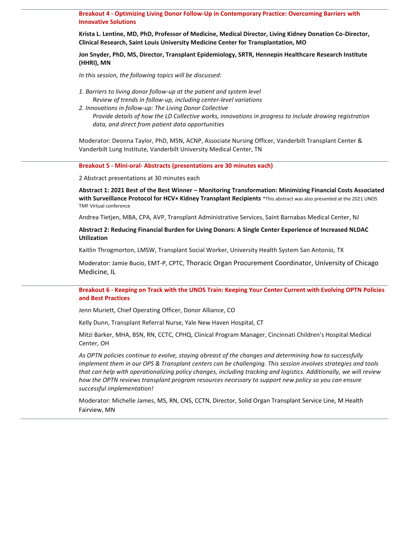**Breakout 4 - Optimizing Living Donor Follow-Up in Contemporary Practice: Overcoming Barriers with Innovative Solutions**

**Krista L. Lentine, MD, PhD, Professor of Medicine, Medical Director, Living Kidney Donation Co-Director, Clinical Research, Saint Louis University Medicine Center for Transplantation, MO**

**Jon Snyder, PhD, MS, Director, Transplant Epidemiology, SRTR, Hennepin Healthcare Research Institute (HHRI), MN**

*In this session, the following topics will be discussed:*

*1. Barriers to living donor follow-up at the patient and system level Review of trends in follow-up, including center-level variations 2. Innovations in follow-up: The Living Donor Collective Provide details of how the LD Collective works, innovations in progress to include drawing registration data, and direct from patient data opportunities*

Moderator: Deonna Taylor, PhD, MSN, ACNP, Associate Nursing Officer, Vanderbilt Transplant Center & Vanderbilt Lung Institute, Vanderbilt University Medical Center, TN

**Breakout 5 - Mini-oral- Abstracts (presentations are 30 minutes each)**

2 Abstract presentations at 30 minutes each

**Abstract 1: 2021 Best of the Best Winner – Monitoring Transformation: Minimizing Financial Costs Associated with Surveillance Protocol for HCV+ Kidney Transplant Recipients** \*This abstract was also presented at the 2021 UNOS TMF Virtual conference

Andrea Tietjen, MBA, CPA, AVP, Transplant Administrative Services, Saint Barnabas Medical Center, NJ

**Abstract 2: Reducing Financial Burden for Living Donors: A Single Center Experience of Increased NLDAC Utilization**

Kaitlin Throgmorton, LMSW, Transplant Social Worker, University Health System San Antonio, TX

Moderator: Jamie Bucio, EMT-P, CPTC, Thoracic Organ Procurement Coordinator, University of Chicago Medicine, IL

**Breakout 6 - Keeping on Track with the UNOS Train: Keeping Your Center Current with Evolving OPTN Policies and Best Practices**

Jenn Muriett, Chief Operating Officer, Donor Alliance, CO

Kelly Dunn, Transplant Referral Nurse, Yale New Haven Hospital, CT

Mitzi Barker, MHA, BSN, RN, CCTC, CPHQ, Clinical Program Manager, Cincinnati Children's Hospital Medical Center, OH

*As OPTN policies continue to evolve, staying abreast of the changes and determining how to successfully implement them in our OPS & Transplant centers can be challenging. This session involves strategies and tools that can help with operationalizing policy changes, including tracking and logistics. Additionally, we will review how the OPTN reviews transplant program resources necessary to support new policy so you can ensure successful implementation!*

Moderator: Michelle James, MS, RN, CNS, CCTN, Director, Solid Organ Transplant Service Line, M Health Fairview, MN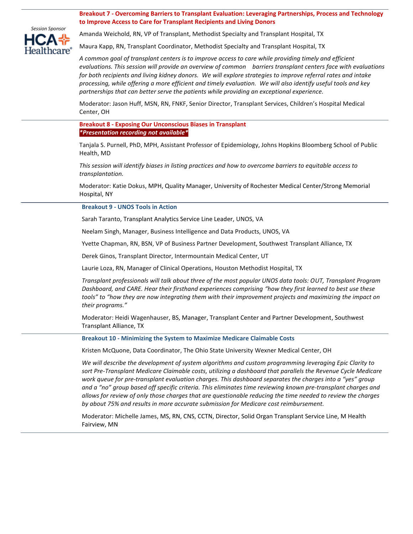**Breakout 7 - Overcoming Barriers to Transplant Evaluation: Leveraging Partnerships, Process and Technology to Improve Access to Care for Transplant Recipients and Living Donors**



Amanda Weichold, RN, VP of Transplant, Methodist Specialty and Transplant Hospital, TX

Maura Kapp, RN, Transplant Coordinator, Methodist Specialty and Transplant Hospital, TX

*A common goal of transplant centers is to improve access to care while providing timely and efficient evaluations. This session will provide an overview of common barriers transplant centers face with evaluations for both recipients and living kidney donors. We will explore strategies to improve referral rates and intake processing, while offering a more efficient and timely evaluation. We will also identify useful tools and key partnerships that can better serve the patients while providing an exceptional experience.*

Moderator: Jason Huff, MSN, RN, FNKF, Senior Director, Transplant Services, Children's Hospital Medical Center, OH

**Breakout 8 - Exposing Our Unconscious Biases in Transplant** *\*Presentation recording not available\**

Tanjala S. Purnell, PhD, MPH, Assistant Professor of Epidemiology, Johns Hopkins Bloomberg School of Public Health, MD

*This session will identify biases in listing practices and how to overcome barriers to equitable access to transplantation.*

Moderator: Katie Dokus, MPH, Quality Manager, University of Rochester Medical Center/Strong Memorial Hospital, NY

#### **Breakout 9 - UNOS Tools in Action**

Sarah Taranto, Transplant Analytics Service Line Leader, UNOS, VA

Neelam Singh, Manager, Business Intelligence and Data Products, UNOS, VA

Yvette Chapman, RN, BSN, VP of Business Partner Development, Southwest Transplant Alliance, TX

Derek Ginos, Transplant Director, Intermountain Medical Center, UT

Laurie Loza, RN, Manager of Clinical Operations, Houston Methodist Hospital, TX

*Transplant professionals will talk about three of the most popular UNOS data tools: OUT, Transplant Program Dashboard, and CARE. Hear their firsthand experiences comprising "how they first learned to best use these tools" to "how they are now integrating them with their improvement projects and maximizing the impact on their programs."* 

Moderator: Heidi Wagenhauser, BS, Manager, Transplant Center and Partner Development, Southwest Transplant Alliance, TX

**Breakout 10 - Minimizing the System to Maximize Medicare Claimable Costs** 

Kristen McQuone, Data Coordinator, The Ohio State University Wexner Medical Center, OH

*We will describe the development of system algorithms and custom programming leveraging Epic Clarity to sort Pre-Transplant Medicare Claimable costs, utilizing a dashboard that parallels the Revenue Cycle Medicare work queue for pre-transplant evaluation charges. This dashboard separates the charges into a "yes" group and a "no" group based off specific criteria. This eliminates time reviewing known pre-transplant charges and allows for review of only those charges that are questionable reducing the time needed to review the charges by about 75% and results in more accurate submission for Medicare cost reimbursement.*

Moderator: Michelle James, MS, RN, CNS, CCTN, Director, Solid Organ Transplant Service Line, M Health Fairview, MN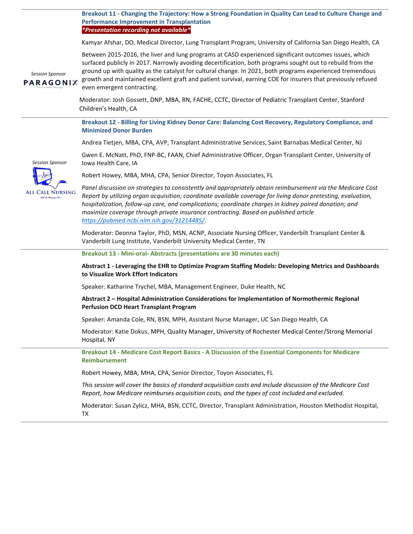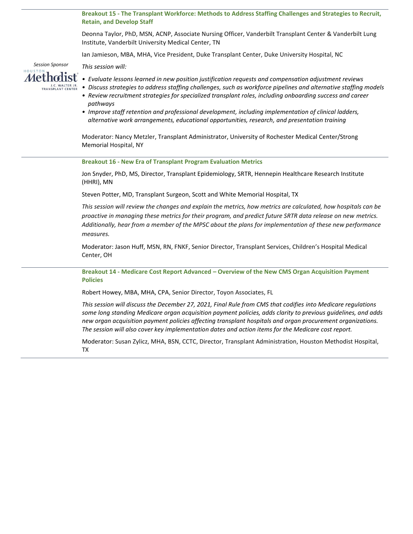**Breakout 15 - The Transplant Workforce: Methods to Address Staffing Challenges and Strategies to Recruit, Retain, and Develop Staff** 

Deonna Taylor, PhD, MSN, ACNP, Associate Nursing Officer, Vanderbilt Transplant Center & Vanderbilt Lung Institute, Vanderbilt University Medical Center, TN

Ian Jamieson, MBA, MHA, Vice President, Duke Transplant Center, Duke University Hospital, NC



*This session will:*

- *Evaluate lessons learned in new position justification requests and compensation adjustment reviews*
- *Discuss strategies to address staffing challenges, such as workforce pipelines and alternative staffing models*
- *Review recruitment strategies for specialized transplant roles, including onboarding success and career pathways*
- *Improve staff retention and professional development, including implementation of clinical ladders, alternative work arrangements, educational opportunities, research, and presentation training*

Moderator: Nancy Metzler, Transplant Administrator, University of Rochester Medical Center/Strong Memorial Hospital, NY

**Breakout 16 - New Era of Transplant Program Evaluation Metrics**

Jon Snyder, PhD, MS, Director, Transplant Epidemiology, SRTR, Hennepin Healthcare Research Institute (HHRI), MN

Steven Potter, MD, Transplant Surgeon, Scott and White Memorial Hospital, TX

*This session will review the changes and explain the metrics, how metrics are calculated, how hospitals can be proactive in managing these metrics for their program, and predict future SRTR data release on new metrics. Additionally, hear from a member of the MPSC about the plans for implementation of these new performance measures.*

Moderator: Jason Huff, MSN, RN, FNKF, Senior Director, Transplant Services, Children's Hospital Medical Center, OH

**Breakout 14 - Medicare Cost Report Advanced – Overview of the New CMS Organ Acquisition Payment Policies**

Robert Howey, MBA, MHA, CPA, Senior Director, Toyon Associates, FL

*This session will discuss the December 27, 2021, Final Rule from CMS that codifies into Medicare regulations some long standing Medicare organ acquisition payment policies, adds clarity to previous guidelines, and adds new organ acquisition payment policies affecting transplant hospitals and organ procurement organizations. The session will also cover key implementation dates and action items for the Medicare cost report.*

Moderator: Susan Zylicz, MHA, BSN, CCTC, Director, Transplant Administration, Houston Methodist Hospital, TX